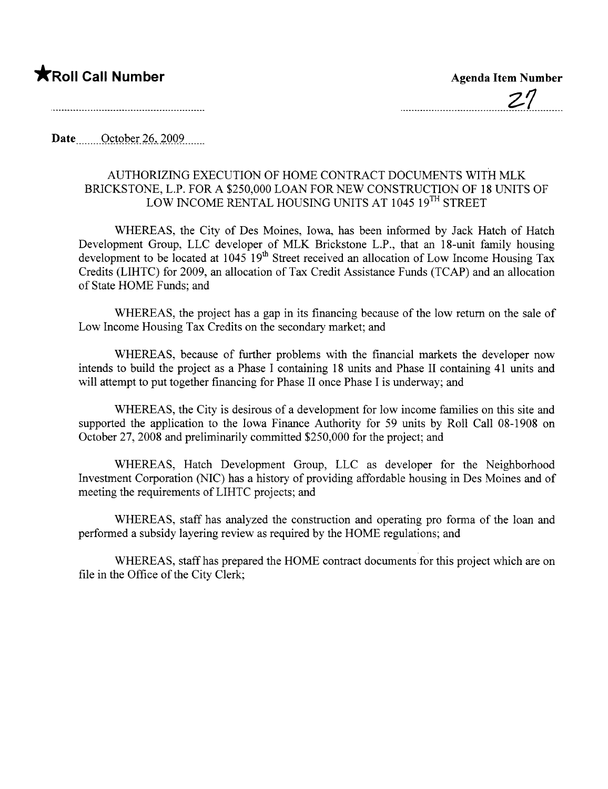## **\***Roll Call Number Agenda Item Number

Date...  $October\ 26, 2009$ 

## AUTHORIZING EXECUTION OF HOME CONTRACT DOCUMENTS WITH MLK BRICKSTONE, L.P. FOR A \$250,000 LOAN FOR NEW CONSTRUCTION OF 18 UNITS OF LOW INCOME RENTAL HOUSING UNITS AT 1045 19TH STREET

WHEREAS, the City of Des Moines, Iowa, has been informed by Jack Hatch of Hatch Development Group, LLC developer of MLK Brickstone L.P., that an 18-unit family housing development to be located at  $1045 \text{ 19}^{\text{th}}$  Street received an allocation of Low Income Housing Tax Credits (LIHTC) for 2009, an allocation of Tax Credit Assistance Funds (TCAP) and an allocation of State HOME Funds; and

WHEREAS, the project has a gap in its financing because of the low return on the sale of Low Income Housing Tax Credits on the secondary market; and

WHEREAS, because of further problems with the financial markets the developer now intends to build the project as a Phase I containing 18 units and Phase II containing 41 units and will attempt to put together financing for Phase II once Phase I is underway; and

WHEREAS, the City is desirous of a development for low income families on this site and supported the application to the Iowa Finance Authority for 59 units by Roll Call 08-1908 on October 27,2008 and preliminarily committed \$250,000 for the project; and

WHEREAS, Hatch Development Group, LLC as developer for the Neighborhood Investment Corporation (NIC) has a history of providing affordable housing in Des Moines and of meeting the requirements of LIHTC projects; and

WHEREAS, staff has analyzed the construction and operating pro forma of the loan and performed a subsidy layering review as required by the HOME regulations; and

WHEREAS, staff has prepared the HOME contract documents for this project which are on file in the Office of the City Clerk;